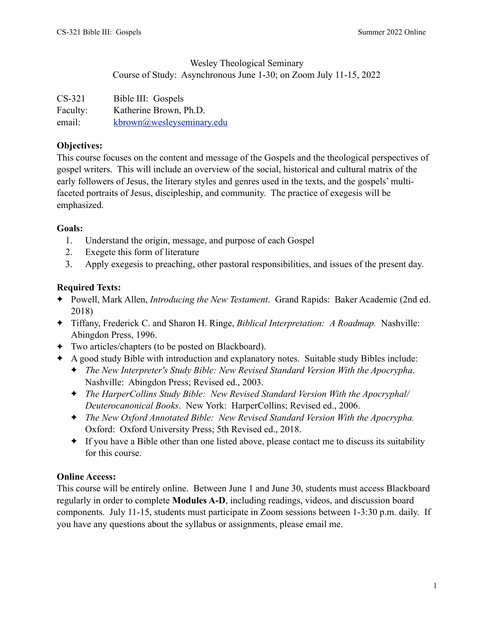## Wesley Theological Seminary Course of Study: Asynchronous June 1-30; on Zoom July 11-15, 2022

| $CS-321$ | Bible III: Gospels        |
|----------|---------------------------|
| Faculty: | Katherine Brown, Ph.D.    |
| email:   | kbrown@wesleyseminary.edu |

## **Objectives:**

This course focuses on the content and message of the Gospels and the theological perspectives of gospel writers. This will include an overview of the social, historical and cultural matrix of the early followers of Jesus, the literary styles and genres used in the texts, and the gospels' multifaceted portraits of Jesus, discipleship, and community. The practice of exegesis will be emphasized.

## **Goals:**

- 1. Understand the origin, message, and purpose of each Gospel
- 2. Exegete this form of literature
- 3. Apply exegesis to preaching, other pastoral responsibilities, and issues of the present day.

# **Required Texts:**

- ✦ Powell, Mark Allen, *Introducing the New Testament*. Grand Rapids: Baker Academic (2nd ed. 2018)
- ✦ Tiffany, Frederick C. and Sharon H. Ringe, *Biblical Interpretation: A Roadmap.* Nashville: Abingdon Press, 1996.
- ✦ Two articles/chapters (to be posted on Blackboard).
- ✦ A good study Bible with introduction and explanatory notes. Suitable study Bibles include:
	- ✦ *The New Interpreter's Study Bible: New Revised Standard Version With the Apocrypha*. Nashville: Abingdon Press; Revised ed., 2003.
	- ✦ *The HarperCollins Study Bible: New Revised Standard Version With the Apocryphal/ Deuterocanonical Books*. New York: HarperCollins; Revised ed., 2006.
	- ✦ *The New Oxford Annotated Bible: New Revised Standard Version With the Apocrypha.* Oxford: Oxford University Press; 5th Revised ed., 2018.
	- ✦ If you have a Bible other than one listed above, please contact me to discuss its suitability for this course.

# **Online Access:**

This course will be entirely online. Between June 1 and June 30, students must access Blackboard regularly in order to complete **Modules A-D**, including readings, videos, and discussion board components. July 11-15, students must participate in Zoom sessions between 1-3:30 p.m. daily. If you have any questions about the syllabus or assignments, please email me.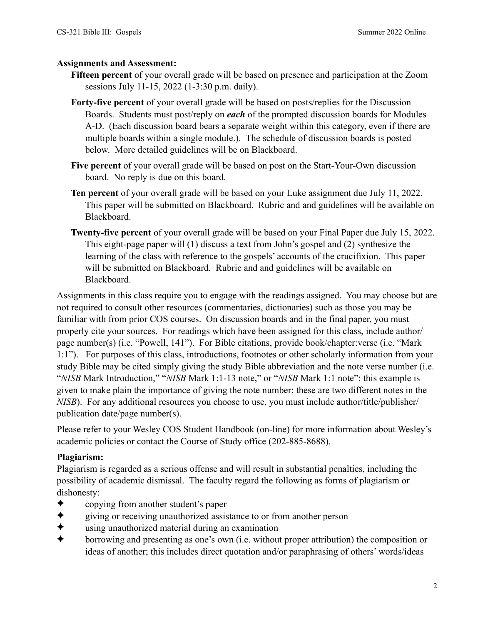### **Assignments and Assessment:**

- **Fifteen percent** of your overall grade will be based on presence and participation at the Zoom sessions July 11-15, 2022 (1-3:30 p.m. daily).
- **Forty-five percent** of your overall grade will be based on posts/replies for the Discussion Boards. Students must post/reply on *each* of the prompted discussion boards for Modules A-D. (Each discussion board bears a separate weight within this category, even if there are multiple boards within a single module.). The schedule of discussion boards is posted below. More detailed guidelines will be on Blackboard.
- **Five percent** of your overall grade will be based on post on the Start-Your-Own discussion board. No reply is due on this board.
- **Ten percent** of your overall grade will be based on your Luke assignment due July 11, 2022. This paper will be submitted on Blackboard. Rubric and and guidelines will be available on Blackboard.
- **Twenty-five percent** of your overall grade will be based on your Final Paper due July 15, 2022. This eight-page paper will (1) discuss a text from John's gospel and (2) synthesize the learning of the class with reference to the gospels' accounts of the crucifixion. This paper will be submitted on Blackboard. Rubric and and guidelines will be available on Blackboard.

Assignments in this class require you to engage with the readings assigned. You may choose but are not required to consult other resources (commentaries, dictionaries) such as those you may be familiar with from prior COS courses. On discussion boards and in the final paper, you must properly cite your sources. For readings which have been assigned for this class, include author/ page number(s) (i.e. "Powell, 141"). For Bible citations, provide book/chapter:verse (i.e. "Mark 1:1"). For purposes of this class, introductions, footnotes or other scholarly information from your study Bible may be cited simply giving the study Bible abbreviation and the note verse number (i.e. "*NISB* Mark Introduction," "*NISB* Mark 1:1-13 note," or "*NISB* Mark 1:1 note"; this example is given to make plain the importance of giving the note number; these are two different notes in the *NISB*). For any additional resources you choose to use, you must include author/title/publisher/ publication date/page number(s).

Please refer to your Wesley COS Student Handbook (on-line) for more information about Wesley's academic policies or contact the Course of Study office (202-885-8688).

# **Plagiarism:**

Plagiarism is regarded as a serious offense and will result in substantial penalties, including the possibility of academic dismissal. The faculty regard the following as forms of plagiarism or dishonesty:

- ✦ copying from another student's paper
- ✦ giving or receiving unauthorized assistance to or from another person
- $\triangle$  using unauthorized material during an examination<br>  $\triangle$  borrowing and presenting as one's own (i.e. without
- ✦ borrowing and presenting as one's own (i.e. without proper attribution) the composition or ideas of another; this includes direct quotation and/or paraphrasing of others' words/ideas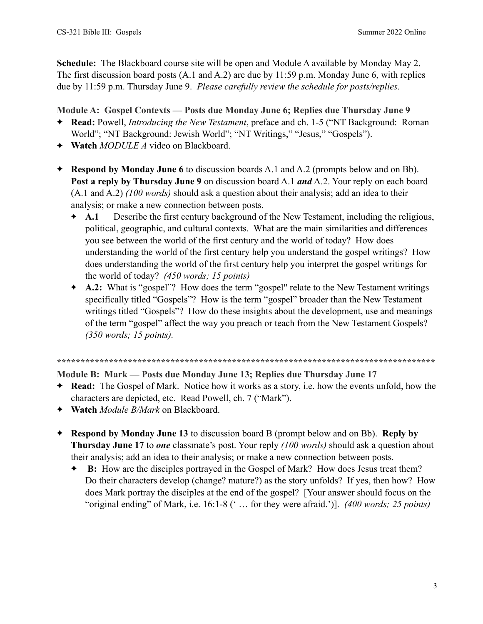**Schedule:** The Blackboard course site will be open and Module A available by Monday May 2. The first discussion board posts (A.1 and A.2) are due by 11:59 p.m. Monday June 6, with replies due by 11:59 p.m. Thursday June 9. *Please carefully review the schedule for posts/replies.* 

## **Module A: Gospel Contexts — Posts due Monday June 6; Replies due Thursday June 9**

- ✦ **Read:** Powell, *Introducing the New Testament*, preface and ch. 1-5 ("NT Background: Roman World"; "NT Background: Jewish World"; "NT Writings," "Jesus," "Gospels").
- ✦ **Watch** *MODULE A* video on Blackboard.
- ✦ **Respond by Monday June 6** to discussion boards A.1 and A.2 (prompts below and on Bb). **Post a reply by Thursday June 9** on discussion board A.1 *and* A.2. Your reply on each board (A.1 and A.2) *(100 words)* should ask a question about their analysis; add an idea to their analysis; or make a new connection between posts.
	- ✦ **A.1** Describe the first century background of the New Testament, including the religious, political, geographic, and cultural contexts. What are the main similarities and differences you see between the world of the first century and the world of today? How does understanding the world of the first century help you understand the gospel writings? How does understanding the world of the first century help you interpret the gospel writings for the world of today? *(450 words; 15 points)*
	- ✦ **A.2:** What is "gospel"? How does the term "gospel" relate to the New Testament writings specifically titled "Gospels"? How is the term "gospel" broader than the New Testament writings titled "Gospels"? How do these insights about the development, use and meanings of the term "gospel" affect the way you preach or teach from the New Testament Gospels? *(350 words; 15 points).*

#### **\*\*\*\*\*\*\*\*\*\*\*\*\*\*\*\*\*\*\*\*\*\*\*\*\*\*\*\*\*\*\*\*\*\*\*\*\*\*\*\*\*\*\*\*\*\*\*\*\*\*\*\*\*\*\*\*\*\*\*\*\*\*\*\*\*\*\*\*\*\*\*\*\*\*\*\*\*\*\*\***

### **Module B: Mark — Posts due Monday June 13; Replies due Thursday June 17**

- ✦ **Read:** The Gospel of Mark. Notice how it works as a story, i.e. how the events unfold, how the characters are depicted, etc. Read Powell, ch. 7 ("Mark").
- ✦ **Watch** *Module B/Mark* on Blackboard.
- ✦ **Respond by Monday June 13** to discussion board B (prompt below and on Bb). **Reply by Thursday June 17** to *one* classmate's post. Your reply *(100 words)* should ask a question about their analysis; add an idea to their analysis; or make a new connection between posts.
	- ✦ **B:** How are the disciples portrayed in the Gospel of Mark? How does Jesus treat them? Do their characters develop (change? mature?) as the story unfolds? If yes, then how? How does Mark portray the disciples at the end of the gospel? [Your answer should focus on the "original ending" of Mark, i.e. 16:1-8 (' … for they were afraid.')]. *(400 words; 25 points)*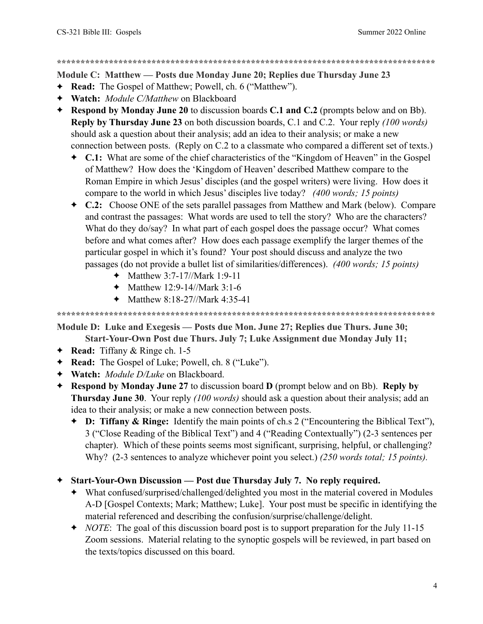**\*\*\*\*\*\*\*\*\*\*\*\*\*\*\*\*\*\*\*\*\*\*\*\*\*\*\*\*\*\*\*\*\*\*\*\*\*\*\*\*\*\*\*\*\*\*\*\*\*\*\*\*\*\*\*\*\*\*\*\*\*\*\*\*\*\*\*\*\*\*\*\*\*\*\*\*\*\*\*\*** 

**Module C: Matthew — Posts due Monday June 20; Replies due Thursday June 23** 

- ✦ **Read:** The Gospel of Matthew; Powell, ch. 6 ("Matthew").
- ✦ **Watch:** *Module C/Matthew* on Blackboard
- ✦ **Respond by Monday June 20** to discussion boards **C.1 and C.2** (prompts below and on Bb). **Reply by Thursday June 23** on both discussion boards, C.1 and C.2. Your reply *(100 words)* should ask a question about their analysis; add an idea to their analysis; or make a new connection between posts. (Reply on C.2 to a classmate who compared a different set of texts.)
	- ✦ **C.1:** What are some of the chief characteristics of the "Kingdom of Heaven" in the Gospel of Matthew? How does the 'Kingdom of Heaven' described Matthew compare to the Roman Empire in which Jesus' disciples (and the gospel writers) were living. How does it compare to the world in which Jesus' disciples live today? *(400 words; 15 points)*
	- ✦ **C.2:** Choose ONE of the sets parallel passages from Matthew and Mark (below). Compare and contrast the passages: What words are used to tell the story? Who are the characters? What do they do/say? In what part of each gospel does the passage occur? What comes before and what comes after? How does each passage exemplify the larger themes of the particular gospel in which it's found? Your post should discuss and analyze the two passages (do not provide a bullet list of similarities/differences). *(400 words; 15 points)*
		- ✦ Matthew 3:7-17//Mark 1:9-11
		- ✦ Matthew 12:9-14//Mark 3:1-6
		- ✦ Matthew 8:18-27//Mark 4:35-41

**\*\*\*\*\*\*\*\*\*\*\*\*\*\*\*\*\*\*\*\*\*\*\*\*\*\*\*\*\*\*\*\*\*\*\*\*\*\*\*\*\*\*\*\*\*\*\*\*\*\*\*\*\*\*\*\*\*\*\*\*\*\*\*\*\*\*\*\*\*\*\*\*\*\*\*\*\*\*\*\*** 

**Module D: Luke and Exegesis — Posts due Mon. June 27; Replies due Thurs. June 30; Start-Your-Own Post due Thurs. July 7; Luke Assignment due Monday July 11;** 

- ✦ **Read:** Tiffany & Ringe ch. 1-5
- ✦ **Read:** The Gospel of Luke; Powell, ch. 8 ("Luke").
- ✦ **Watch:** *Module D/Luke* on Blackboard.
- ✦ **Respond by Monday June 27** to discussion board **D** (prompt below and on Bb). **Reply by Thursday June 30**. Your reply *(100 words)* should ask a question about their analysis; add an idea to their analysis; or make a new connection between posts.
	- ✦ **D: Tiffany & Ringe:** Identify the main points of ch.s 2 ("Encountering the Biblical Text"), 3 ("Close Reading of the Biblical Text") and 4 ("Reading Contextually") (2-3 sentences per chapter). Which of these points seems most significant, surprising, helpful, or challenging? Why? (2-3 sentences to analyze whichever point you select.) *(250 words total; 15 points).*

✦ **Start-Your-Own Discussion — Post due Thursday July 7. No reply required.**

- ✦ What confused/surprised/challenged/delighted you most in the material covered in Modules A-D [Gospel Contexts; Mark; Matthew; Luke]. Your post must be specific in identifying the material referenced and describing the confusion/surprise/challenge/delight.
- ✦ *NOTE*: The goal of this discussion board post is to support preparation for the July 11-15 Zoom sessions. Material relating to the synoptic gospels will be reviewed, in part based on the texts/topics discussed on this board.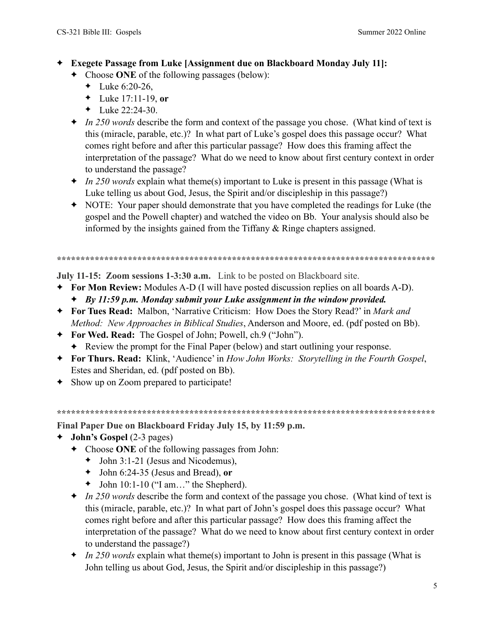- ✦ **Exegete Passage from Luke [Assignment due on Blackboard Monday July 11]:** 
	- ✦ Choose **ONE** of the following passages (below):
		- ← Luke  $6:20-26$ ,
		- ✦ Luke 17:11-19, **or**
		- $\triangleleft$  Luke 22:24-30.
	- ✦ *In 250 words* describe the form and context of the passage you chose. (What kind of text is this (miracle, parable, etc.)? In what part of Luke's gospel does this passage occur? What comes right before and after this particular passage? How does this framing affect the interpretation of the passage? What do we need to know about first century context in order to understand the passage?
	- ✦ *In 250 words* explain what theme(s) important to Luke is present in this passage (What is Luke telling us about God, Jesus, the Spirit and/or discipleship in this passage?)
	- ✦ NOTE: Your paper should demonstrate that you have completed the readings for Luke (the gospel and the Powell chapter) and watched the video on Bb. Your analysis should also be informed by the insights gained from the Tiffany & Ringe chapters assigned.

**\*\*\*\*\*\*\*\*\*\*\*\*\*\*\*\*\*\*\*\*\*\*\*\*\*\*\*\*\*\*\*\*\*\*\*\*\*\*\*\*\*\*\*\*\*\*\*\*\*\*\*\*\*\*\*\*\*\*\*\*\*\*\*\*\*\*\*\*\*\*\*\*\*\*\*\*\*\*\*\*** 

**July 11-15: Zoom sessions 1-3:30 a.m.** Link to be posted on Blackboard site.

- ✦ **For Mon Review:** Modules A-D (I will have posted discussion replies on all boards A-D).
	- ✦ *By 11:59 p.m. Monday submit your Luke assignment in the window provided.*
- ✦ **For Tues Read:** Malbon, 'Narrative Criticism: How Does the Story Read?' in *Mark and Method: New Approaches in Biblical Studies*, Anderson and Moore, ed. (pdf posted on Bb).
- ✦ **For Wed. Read:** The Gospel of John; Powell, ch.9 ("John").
	- ✦ Review the prompt for the Final Paper (below) and start outlining your response.
- ✦ **For Thurs. Read:** Klink, 'Audience' in *How John Works: Storytelling in the Fourth Gospel*, Estes and Sheridan, ed. (pdf posted on Bb).
- ✦ Show up on Zoom prepared to participate!

**\*\*\*\*\*\*\*\*\*\*\*\*\*\*\*\*\*\*\*\*\*\*\*\*\*\*\*\*\*\*\*\*\*\*\*\*\*\*\*\*\*\*\*\*\*\*\*\*\*\*\*\*\*\*\*\*\*\*\*\*\*\*\*\*\*\*\*\*\*\*\*\*\*\*\*\*\*\*\*\*** 

**Final Paper Due on Blackboard Friday July 15, by 11:59 p.m.** 

- ✦ **John's Gospel** (2-3 pages)
	- ✦ Choose **ONE** of the following passages from John:
		- $\blacklozenge$  John 3:1-21 (Jesus and Nicodemus),
		- ✦ John 6:24-35 (Jesus and Bread), **or**
		- $\blacklozenge$  John 10:1-10 ("I am..." the Shepherd).
	- ✦ *In 250 words* describe the form and context of the passage you chose. (What kind of text is this (miracle, parable, etc.)? In what part of John's gospel does this passage occur? What comes right before and after this particular passage? How does this framing affect the interpretation of the passage? What do we need to know about first century context in order to understand the passage?)
	- ✦ *In 250 words* explain what theme(s) important to John is present in this passage (What is John telling us about God, Jesus, the Spirit and/or discipleship in this passage?)